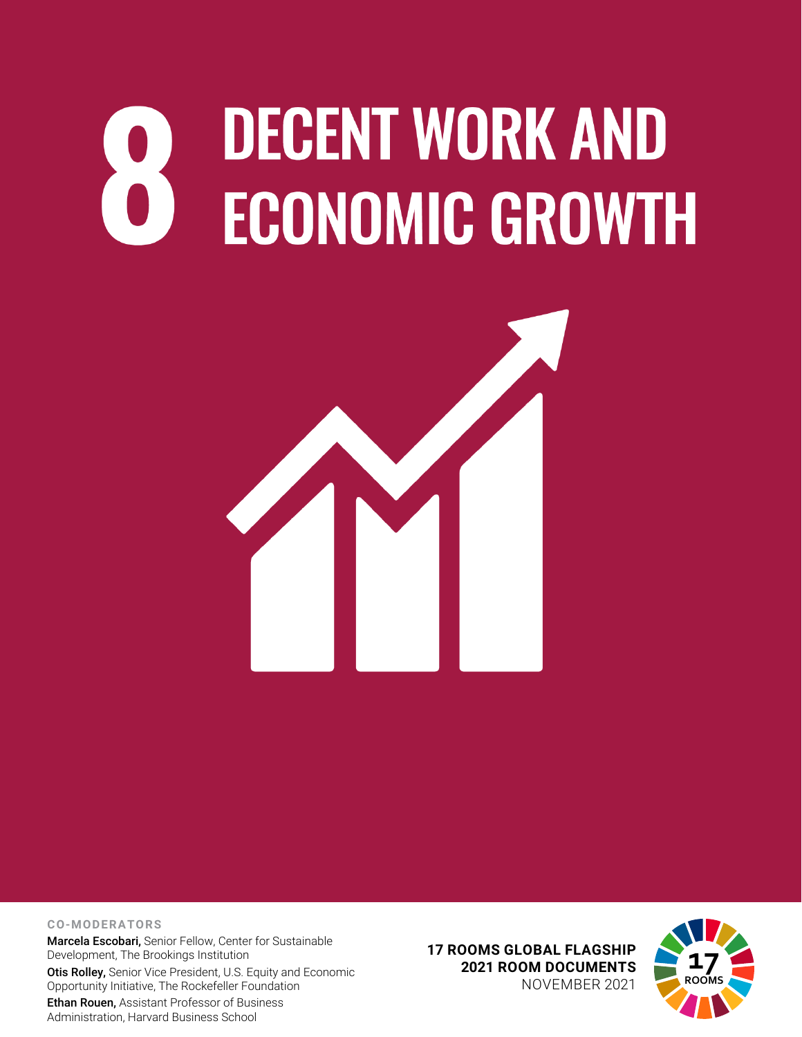## **DECENT WORK AND ECONOMIC GROWTH**



## **CO-MODERATORS**

Marcela Escobari, Senior Fellow, Center for Sustainable Development, The Brookings Institution Otis Rolley, Senior Vice President, U.S. Equity and Economic Opportunity Initiative, The Rockefeller Foundation

Ethan Rouen, Assistant Professor of Business Administration, Harvard Business School

**17 ROOMS GLOBAL FLAGSHIP 2021 ROOM DOCUMENTS** NOVEMBER 2021

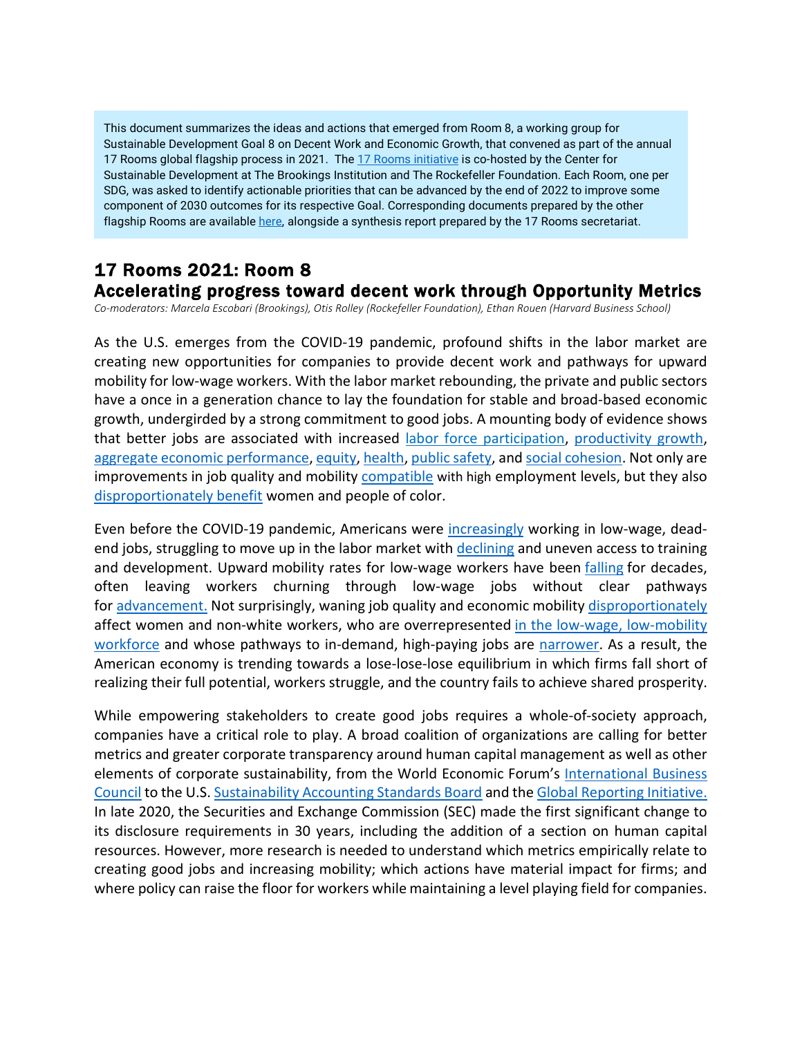This document summarizes the ideas and actions that emerged from Room 8, a working group for Sustainable Development Goal 8 on Decent Work and Economic Growth, that convened as part of the annual 17 Rooms global flagship process in 2021. The [17 Rooms initiative](https://www.brookings.edu/project/17-rooms/) is co-hosted by the Center for Sustainable Development at The Brookings Institution and The Rockefeller Foundation. Each Room, one per SDG, was asked to identify actionable priorities that can be advanced by the end of 2022 to improve some component of 2030 outcomes for its respective Goal. Corresponding documents prepared by the other flagship Rooms are availabl[e here,](http://www.brookings.edu/17rooms2021) alongside a synthesis report prepared by the 17 Rooms secretariat.

## 17 Rooms 2021: Room 8 Accelerating progress toward decent work through Opportunity Metrics

*Co-moderators: Marcela Escobari (Brookings), Otis Rolley (Rockefeller Foundation), Ethan Rouen (Harvard Business School)*

As the U.S. emerges from the COVID-19 pandemic, profound shifts in the labor market are creating new opportunities for companies to provide decent work and pathways for upward mobility for low-wage workers. With the labor market rebounding, the private and public sectors have a once in a generation chance to lay the foundation for stable and broad-based economic growth, undergirded by a strong commitment to good jobs. A mounting body of evidence shows that better jobs are associated with increased [labor force participation,](https://www.chicagofed.org/%7E/media/publications/economic-perspectives/2014/4q2014-part1-aaronson-etal-pdf.pdf) [productivity growth,](https://www.factorhappiness.at/downloads/quellen/s17_harter.pdf) [aggregate economic performance,](http://aei.pitt.edu/14580/1/No_330_Ehrel_and_Guergoat_on_Job_quality_revised_final.pdf) [equity,](https://www.epi.org/publication/secular-stagnation/#:%7E:text=The%20failure%20of%20wages%20of,top%20of%20the%20income%20distribution.) [health,](https://www.ncbi.nlm.nih.gov/pmc/articles/PMC3813007/) [public safety,](https://obamawhitehouse.archives.gov/sites/whitehouse.gov/files/documents/CEA%2BCriminal%2BJustice%2BReport.pdf) an[d social cohesion.](https://www.russellsage.org/sites/all/files/u4/Uslaner%20and%20Brown.pdf) Not only are improvements in job quality and mobility [compatible](https://www.oecd.org/sdd/labour-stats/Job-quality-OECD.pdf) with high employment levels, but they also [disproportionately benefit](https://www.clasp.org/sites/default/files/public/resources-and-publications/publication-1/Race-and-Job-Quality-Brief-3_30ar.docx-FINAL.pdf) women and people of color.

Even before the COVID-19 pandemic, Americans were *increasingly* working in low-wage, deadend jobs, struggling to move up in the labor market with [declining](https://conversableeconomist.blogspot.com/2015/02/a-decline-in-on-job-training.html) and uneven access to training and development. Upward mobility rates for low-wage workers have been [falling](https://papers.ssrn.com/sol3/papers.cfm?abstract_id=3164963) for decades, often leaving workers churning through low-wage jobs without clear pathways for [advancement.](https://www.brookings.edu/wp-content/uploads/2019/11/Realism-About-Reskilling-Final-Report.pdf#page=43) Not surprisingly, waning job quality and economic mobility [disproportionately](https://www.rsfjournal.org/content/5/4/159.abstract) affect women and non-white workers, who are overrepresented [in the low-wage, low-mobility](https://www.brookings.edu/wp-content/uploads/2019/11/Realism-About-Reskilling-Final-Report.pdf)  [workforce](https://www.brookings.edu/wp-content/uploads/2019/11/Realism-About-Reskilling-Final-Report.pdf) and whose pathways to in-demand, high-paying jobs are [narrower.](https://www.brookings.edu/research/moving-up-promoting-workers-upward-mobility-in-a-time-of-change/) As a result, the American economy is trending towards a lose-lose-lose equilibrium in which firms fall short of realizing their full potential, workers struggle, and the country fails to achieve shared prosperity.

While empowering stakeholders to create good jobs requires a whole-of-society approach, companies have a critical role to play. A broad coalition of organizations are calling for better metrics and greater corporate transparency around human capital management as well as other elements of corporate sustainability, from the World Economic Forum's [International Business](https://www.weforum.org/stakeholdercapitalism)  [Council](https://www.weforum.org/stakeholdercapitalism) to the U.S. [Sustainability Accounting Standards Board](https://www.sasb.org/standards/process/active-projects/human-capital/) and the Global [Reporting Initiative.](https://corporatereportingdialogue.com/initiative/gri-g4-sustainability-reporting-guidelines/) In late 2020, the Securities and Exchange Commission (SEC) made the first significant change to its disclosure requirements in 30 years, including the addition of a section on human capital resources. However, more research is needed to understand which metrics empirically relate to creating good jobs and increasing mobility; which actions have material impact for firms; and where policy can raise the floor for workers while maintaining a level playing field for companies.